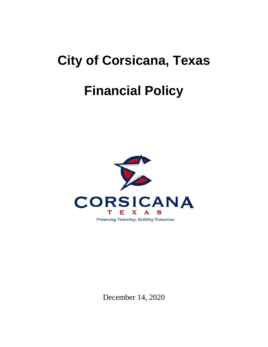# **City of Corsicana, Texas**

## **Financial Policy**



December 14, 2020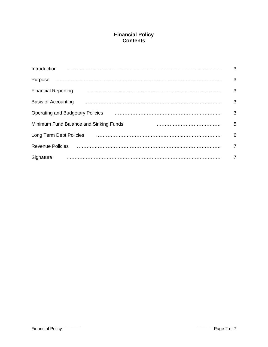### **Financial Policy Contents**

|                                                                                                                                                                                                                                     | 3              |
|-------------------------------------------------------------------------------------------------------------------------------------------------------------------------------------------------------------------------------------|----------------|
|                                                                                                                                                                                                                                     | 3              |
| <b>Financial Reporting</b>                                                                                                                                                                                                          | 3              |
| Basis of Accounting                                                                                                                                                                                                                 | 3              |
| <b>Operating and Budgetary Policies</b>                                                                                                                                                                                             | 3              |
| Minimum Fund Balance and Sinking Funds                                                                                                                                                                                              | 5              |
| Long Term Debt Policies <b>Constitution</b> Contract Constant Constant Constant Constant Constant Constant Constant Constant Constant Constant Constant Constant Constant Constant Constant Constant Constant Constant Constant Con | 6              |
| <b>Revenue Policies</b>                                                                                                                                                                                                             | $\overline{7}$ |
| Signature                                                                                                                                                                                                                           | 7              |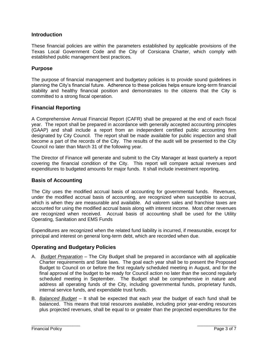#### **Introduction**

These financial policies are within the parameters established by applicable provisions of the Texas Local Government Code and the City of Corsicana Charter, which comply with established public management best practices.

#### **Purpose**

The purpose of financial management and budgetary policies is to provide sound guidelines in planning the City's financial future. Adherence to these policies helps ensure long-term financial stability and healthy financial position and demonstrates to the citizens that the City is committed to a strong fiscal operation.

#### **Financial Reporting**

A Comprehensive Annual Financial Report (CAFR) shall be prepared at the end of each fiscal year. The report shall be prepared in accordance with generally accepted accounting principles (GAAP) and shall include a report from an independent certified public accounting firm designated by City Council. The report shall be made available for public inspection and shall become a part of the records of the City. The results of the audit will be presented to the City Council no later than March 31 of the following year.

The Director of Finance will generate and submit to the City Manager at least quarterly a report covering the financial condition of the City. This report will compare actual revenues and expenditures to budgeted amounts for major funds. It shall include investment reporting.

#### **Basis of Accounting**

The City uses the modified accrual basis of accounting for governmental funds. Revenues, under the modified accrual basis of accounting, are recognized when susceptible to accrual, which is when they are measurable and available. Ad valorem sales and franchise taxes are accounted for using the modified accrual basis along with interest income. Most other revenues are recognized when received. Accrual basis of accounting shall be used for the Utility Operating, Sanitation and EMS Funds

Expenditures are recognized when the related fund liability is incurred, if measurable, except for principal and interest on general long-term debt, which are recorded when due.

#### **Operating and Budgetary Policies**

- A. *Budget Preparation* The City Budget shall be prepared in accordance with all applicable Charter requirements and State laws. The goal each year shall be to present the Proposed Budget to Council on or before the first regularly scheduled meeting in August, and for the final approval of the budget to be ready for Council action no later than the second regularly scheduled meeting in September. The Budget shall be comprehensive in nature and address all operating funds of the City, including governmental funds, proprietary funds, internal service funds, and expendable trust funds.
- B. *Balanced Budget* It shall be expected that each year the budget of each fund shall be balanced. This means that total resources available, including prior year-ending resources plus projected revenues, shall be equal to or greater than the projected expenditures for the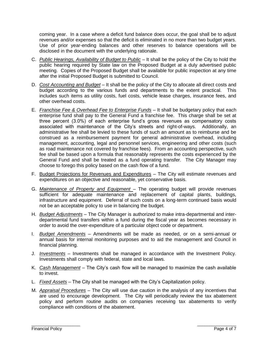coming year. In a case where a deficit fund balance does occur, the goal shall be to adjust revenues and/or expenses so that the deficit is eliminated in no more than two budget years. Use of prior year-ending balances and other reserves to balance operations will be disclosed in the document with the underlying rationale.

- C. *Public Hearings, Availability of Budget to Public* It shall be the policy of the City to hold the public hearing required by State law on the Proposed Budget at a duly advertised public meeting. Copies of the Proposed Budget shall be available for public inspection at any time after the initial Proposed Budget is submitted to Council.
- D. *Cost Accounting and Budget* It shall be the policy of the City to allocate all direct costs and budget according to the various funds and departments to the extent practical. This includes such items as utility costs, fuel costs, vehicle lease charges, insurance fees, and other overhead costs.
- E. *Franchise Fee & Overhead Fee to Enterprise Funds* It shall be budgetary policy that each enterprise fund shall pay to the General Fund a franchise fee. This charge shall be set at three percent (3.0%) of each enterprise fund's gross revenues as compensatory costs associated with maintenance of the City's streets and right-of-ways. Additionally, an administrative fee shall be levied to these funds of such an amount as to reimburse and be construed as a reimbursement payment for general administrative overhead, including management, accounting, legal and personnel services, engineering and other costs (such as road maintenance not covered by franchise fees). From an accounting perspective, such fee shall be based upon a formula that reasonably represents the costs experienced by the General Fund and shall be treated as a fund operating transfer. The City Manager may choose to forego this policy based on the cash flow of a fund.
- F. Budget Projections for Revenues and Expenditures The City will estimate revenues and expenditures on an objective and reasonable, yet conservative basis.
- G. Maintenance of Property and Equipment The operating budget will provide revenues sufficient for adequate maintenance and replacement of capital plants, buildings, infrastructure and equipment. Deferral of such costs on a long-term continued basis would not be an acceptable policy to use in balancing the budget.
- H. *Budget Adjustments* The City Manager is authorized to make intra-departmental and interdepartmental fund transfers within a fund during the fiscal year as becomes necessary in order to avoid the over-expenditure of a particular object code or department.
- I. *Budget Amendments* Amendments will be made as needed, or on a semi-annual or annual basis for internal monitoring purposes and to aid the management and Council in financial planning.
- J. *Investments* Investments shall be managed in accordance with the Investment Policy. Investments shall comply with federal, state and local laws.
- K. *Cash Management* The City's cash flow will be managed to maximize the cash available to invest.
- L. *Fixed Assets* The City shall be managed with the City's Capitalization policy.
- M. *Appraisal Procedures* The City will use due caution in the analysis of any incentives that are used to encourage development. The City will periodically review the tax abatement policy and perform routine audits on companies receiving tax abatements to verify compliance with conditions of the abatement.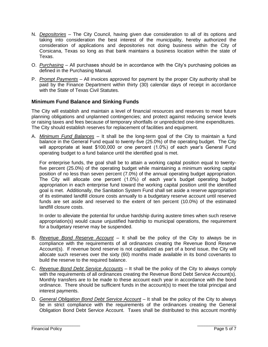- N. *Depositories* The City Council, having given due consideration to all of its options and taking into consideration the best interest of the municipality, hereby authorized the consideration of applications and depositories not doing business within the City of Corsicana, Texas so long as that bank maintains a business location within the state of Texas.
- O. *Purchasing* All purchases should be in accordance with the City's purchasing policies as defined in the Purchasing Manual.
- P. *Prompt Payments* All invoices approved for payment by the proper City authority shall be paid by the Finance Department within thirty (30) calendar days of receipt in accordance with the State of Texas Civil Statutes.

#### **Minimum Fund Balance and Sinking Funds**

The City will establish and maintain a level of financial resources and reserves to meet future planning obligations and unplanned contingencies; and protect against reducing service levels or raising taxes and fees because of temporary shortfalls or unpredicted one-time expenditures. The City should establish reserves for replacement of facilities and equipment.

A. *Minimum Fund Balances* – It shall be the long-term goal of the City to maintain a fund balance in the General Fund equal to twenty-five (25.0%) of the operating budget. The City will appropriate at least \$100,000 or one percent (1.0%) of each year's General Fund operating budget to a fund balance until the identified goal is met.

For enterprise funds, the goal shall be to attain a working capital position equal to twentyfive percent (25.0%) of the operating budget while maintaining a minimum working capital position of no less than seven percent (7.0%) of the annual operating budget appropriation. The City will allocate one percent (1.0%) of each year's budget operating budget appropriation in each enterprise fund toward the working capital position until the identified goal is met. Additionally, the Sanitation System Fund shall set aside a reserve appropriation of its estimated landfill closure costs annually to a budgetary reserve account until reserved funds are set aside and reserved to the extent of ten percent (10.0%) of the estimated landfill closure costs.

In order to alleviate the potential for undue hardship during austere times when such reserve appropriation(s) would cause unjustified hardship to municipal operations, the requirement for a budgetary reserve may be suspended.

- B. *Revenue Bond Reserve Account* It shall be the policy of the City to always be in compliance with the requirements of all ordinances creating the Revenue Bond Reserve Account(s). If revenue bond reserve is not capitalized as part of a bond issue, the City will allocate such reserves over the sixty (60) months made available in its bond covenants to build the reserve to the required balance.
- C. *Revenue Bond Debt Service Accounts* It shall be the policy of the City to always comply with the requirements of all ordinances creating the Revenue Bond Debt Service Account(s). Monthly transfers are to be made to these account each year in accordance with the bond ordinance. There should be sufficient funds in the account(s) to meet the total principal and interest payments.
- D. *General Obligation Bond Debt Service Account* It shall be the policy of the City to always be in strict compliance with the requirements of the ordinances creating the General Obligation Bond Debt Service Account. Taxes shall be distributed to this account monthly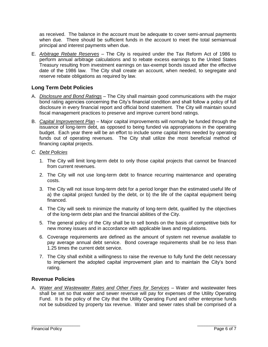as received. The balance in the account must be adequate to cover semi-annual payments when due. There should be sufficient funds in the account to meet the total semiannual principal and interest payments when due.

E. *Arbitrage Rebate Reserves* – The City is required under the Tax Reform Act of 1986 to perform annual arbitrage calculations and to rebate excess earnings to the United States Treasury resulting from investment earnings on tax-exempt bonds issued after the effective date of the 1986 law. The City shall create an account, when needed, to segregate and reserve rebate obligations as required by law.

#### **Long Term Debt Policies**

- A. *Disclosure and Bond Ratings* The City shall maintain good communications with the major bond rating agencies concerning the City's financial condition and shall follow a policy of full disclosure in every financial report and official bond statement. The City will maintain sound fiscal management practices to preserve and improve current bond ratings.
- B. *Capital Improvement Plan* Major capital improvements will normally be funded through the issuance of long-term debt, as opposed to being funded via appropriations in the operating budget. Each year there will be an effort to include some capital items needed by operating funds out of operating revenues. The City shall utilize the most beneficial method of financing capital projects.
- *C. Debt Policies*
	- 1. The City will limit long-term debt to only those capital projects that cannot be financed from current revenues.
	- 2. The City will not use long-term debt to finance recurring maintenance and operating costs.
	- 3. The City will not issue long-term debt for a period longer than the estimated useful life of a) the capital project funded by the debt, or b) the life of the capital equipment being financed.
	- 4. The City will seek to minimize the maturity of long-term debt, qualified by the objectives of the long-term debt plan and the financial abilities of the City.
	- 5. The general policy of the City shall be to sell bonds on the basis of competitive bids for new money issues and in accordance with applicable laws and regulations.
	- 6. Coverage requirements are defined as the amount of system net revenue available to pay average annual debt service. Bond coverage requirements shall be no less than 1.25 times the current debt service.
	- 7. The City shall exhibit a willingness to raise the revenue to fully fund the debt necessary to implement the adopted capital improvement plan and to maintain the City's bond rating.

#### **Revenue Policies**

A. *Water and Wastewater Rates and Other Fees for Services* – Water and wastewater fees shall be set so that water and sewer revenue will pay for expenses of the Utility Operating Fund. It is the policy of the City that the Utility Operating Fund and other enterprise funds not be subsidized by property tax revenue. Water and sewer rates shall be comprised of a